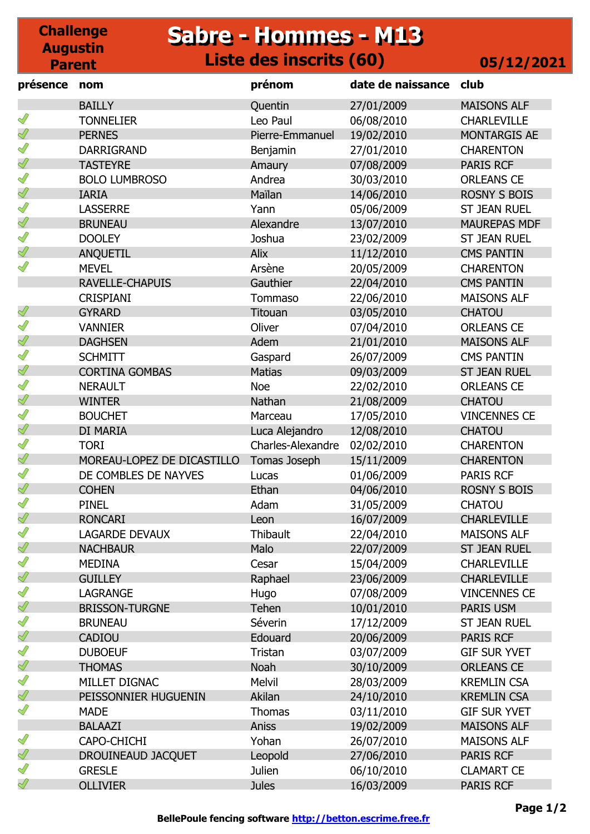### **Challenge Augustin Parent Sabre - Hommes - M13 Sabre - Hommes - M13 Liste des inscrits (60) 05/12/2021**

| présence      | nom                        | prénom            | date de naissance | club                |
|---------------|----------------------------|-------------------|-------------------|---------------------|
|               | <b>BAILLY</b>              | Quentin           | 27/01/2009        | <b>MAISONS ALF</b>  |
| I             | <b>TONNELIER</b>           | Leo Paul          | 06/08/2010        | <b>CHARLEVILLE</b>  |
| Ï             | <b>PERNES</b>              | Pierre-Emmanuel   | 19/02/2010        | <b>MONTARGIS AE</b> |
| I             | <b>DARRIGRAND</b>          | Benjamin          | 27/01/2010        | <b>CHARENTON</b>    |
| Ï             | <b>TASTEYRE</b>            | Amaury            | 07/08/2009        | <b>PARIS RCF</b>    |
| I             | <b>BOLO LUMBROSO</b>       | Andrea            | 30/03/2010        | <b>ORLEANS CE</b>   |
| Ï             | <b>IARIA</b>               | Maïlan            | 14/06/2010        | <b>ROSNY S BOIS</b> |
| I             | <b>LASSERRE</b>            | Yann              | 05/06/2009        | <b>ST JEAN RUEL</b> |
| Ï             | <b>BRUNEAU</b>             | Alexandre         | 13/07/2010        | <b>MAUREPAS MDF</b> |
| ℐ             | <b>DOOLEY</b>              | Joshua            | 23/02/2009        | <b>ST JEAN RUEL</b> |
| Ï             | <b>ANQUETIL</b>            | Alix              | 11/12/2010        | <b>CMS PANTIN</b>   |
|               | <b>MEVEL</b>               | Arsène            | 20/05/2009        | <b>CHARENTON</b>    |
|               | <b>RAVELLE-CHAPUIS</b>     | <b>Gauthier</b>   | 22/04/2010        | <b>CMS PANTIN</b>   |
|               | <b>CRISPIANI</b>           | Tommaso           | 22/06/2010        | <b>MAISONS ALF</b>  |
| Ï             | <b>GYRARD</b>              | Titouan           | 03/05/2010        | <b>CHATOU</b>       |
| ∥             | <b>VANNIER</b>             | Oliver            | 07/04/2010        | <b>ORLEANS CE</b>   |
| Ï             | <b>DAGHSEN</b>             | Adem              | 21/01/2010        | <b>MAISONS ALF</b>  |
| $\mathscr{Q}$ | <b>SCHMITT</b>             | Gaspard           | 26/07/2009        | <b>CMS PANTIN</b>   |
| ∜             | <b>CORTINA GOMBAS</b>      | <b>Matias</b>     | 09/03/2009        | <b>ST JEAN RUEL</b> |
| ∥             | <b>NERAULT</b>             | <b>Noe</b>        | 22/02/2010        | <b>ORLEANS CE</b>   |
| ∜             | <b>WINTER</b>              | Nathan            | 21/08/2009        | <b>CHATOU</b>       |
| ∥             | <b>BOUCHET</b>             | Marceau           | 17/05/2010        | <b>VINCENNES CE</b> |
| ∜             | DI MARIA                   | Luca Alejandro    | 12/08/2010        | <b>CHATOU</b>       |
| $\mathscr{Q}$ | <b>TORI</b>                | Charles-Alexandre | 02/02/2010        | <b>CHARENTON</b>    |
| ∜             | MOREAU-LOPEZ DE DICASTILLO | Tomas Joseph      | 15/11/2009        | <b>CHARENTON</b>    |
| $\mathscr{Q}$ | DE COMBLES DE NAYVES       | Lucas             | 01/06/2009        | <b>PARIS RCF</b>    |
| Ï             | <b>COHEN</b>               | Ethan             | 04/06/2010        | <b>ROSNY S BOIS</b> |
| Ĭ             | <b>PINEL</b>               | Adam              | 31/05/2009        | <b>CHATOU</b>       |
| $\mathscr{Q}$ | <b>RONCARI</b>             | Leon              | 16/07/2009        | <b>CHARLEVILLE</b>  |
| Î             | <b>LAGARDE DEVAUX</b>      | <b>Thibault</b>   | 22/04/2010        | <b>MAISONS ALF</b>  |
| Ï             | <b>NACHBAUR</b>            | Malo              | 22/07/2009        | <b>ST JEAN RUEL</b> |
| S             | <b>MEDINA</b>              | Cesar             | 15/04/2009        | <b>CHARLEVILLE</b>  |
| I             | <b>GUILLEY</b>             | Raphael           | 23/06/2009        | <b>CHARLEVILLE</b>  |
| ℐ             | <b>LAGRANGE</b>            | Hugo              | 07/08/2009        | <b>VINCENNES CE</b> |
| $\mathscr{Q}$ | <b>BRISSON-TURGNE</b>      | Tehen             | 10/01/2010        | PARIS USM           |
| S             | <b>BRUNEAU</b>             | Séverin           | 17/12/2009        | <b>ST JEAN RUEL</b> |
| Î<br>S        | <b>CADIOU</b>              | Edouard           | 20/06/2009        | PARIS RCF           |
|               | <b>DUBOEUF</b>             | Tristan           | 03/07/2009        | <b>GIF SUR YVET</b> |
| Ï             | <b>THOMAS</b>              | <b>Noah</b>       | 30/10/2009        | <b>ORLEANS CE</b>   |
| I             | MILLET DIGNAC              | Melvil            | 28/03/2009        | <b>KREMLIN CSA</b>  |
| Ï             | PEISSONNIER HUGUENIN       | Akilan            | 24/10/2010        | <b>KREMLIN CSA</b>  |
| ℐ             | <b>MADE</b>                | <b>Thomas</b>     | 03/11/2010        | <b>GIF SUR YVET</b> |
| $\mathscr{Q}$ | <b>BALAAZI</b>             | <b>Aniss</b>      | 19/02/2009        | <b>MAISONS ALF</b>  |
|               | CAPO-CHICHI                | Yohan             | 26/07/2010        | <b>MAISONS ALF</b>  |
| Ï             | DROUINEAUD JACQUET         | Leopold           | 27/06/2010        | <b>PARIS RCF</b>    |
| I             | <b>GRESLE</b>              | Julien            | 06/10/2010        | <b>CLAMART CE</b>   |
| ℐ             | <b>OLLIVIER</b>            | <b>Jules</b>      | 16/03/2009        | <b>PARIS RCF</b>    |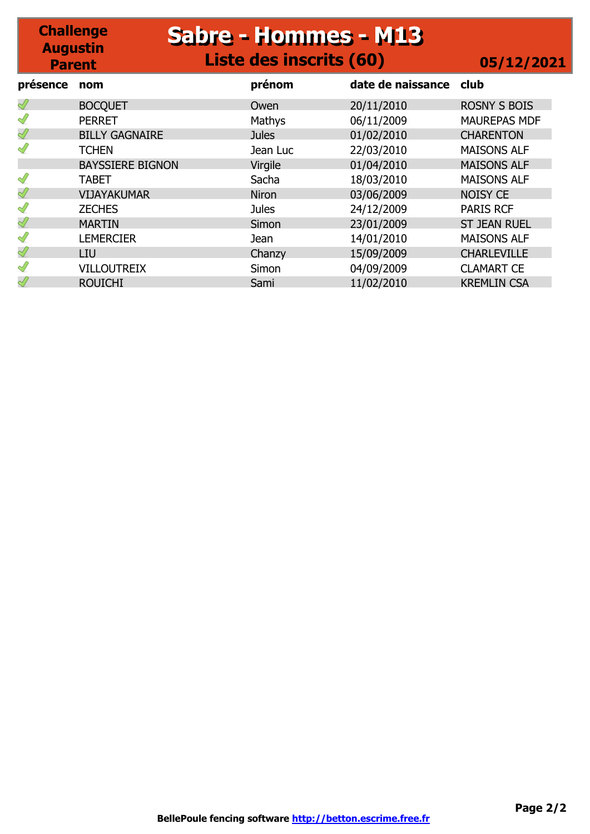### **Challenge Augustin Parent Sabre - Hommes - M13 Sabre - Hommes - M13 Liste des inscrits (60) 05/12/2021 présence nom prénom date de naissance club**

| presence      | nom                     | prenom       | date de naissance | CIUD                |
|---------------|-------------------------|--------------|-------------------|---------------------|
| Ï             | <b>BOCQUET</b>          | Owen         | 20/11/2010        | <b>ROSNY S BOIS</b> |
| Î             | <b>PERRET</b>           | Mathys       | 06/11/2009        | <b>MAUREPAS MDF</b> |
| Ï             | <b>BILLY GAGNAIRE</b>   | <b>Jules</b> | 01/02/2010        | <b>CHARENTON</b>    |
| ℐ             | <b>TCHEN</b>            | Jean Luc     | 22/03/2010        | <b>MAISONS ALF</b>  |
|               | <b>BAYSSIERE BIGNON</b> | Virgile      | 01/04/2010        | <b>MAISONS ALF</b>  |
| I             | <b>TABET</b>            | Sacha        | 18/03/2010        | <b>MAISONS ALF</b>  |
| Ï             | <b>VIJAYAKUMAR</b>      | <b>Niron</b> | 03/06/2009        | <b>NOISY CE</b>     |
| I             | <b>ZECHES</b>           | <b>Jules</b> | 24/12/2009        | <b>PARIS RCF</b>    |
| Ï             | <b>MARTIN</b>           | Simon        | 23/01/2009        | <b>ST JEAN RUEL</b> |
| Î             | <b>LEMERCIER</b>        | Jean         | 14/01/2010        | <b>MAISONS ALF</b>  |
| Ï             | LIU.                    | Chanzy       | 15/09/2009        | <b>CHARLEVILLE</b>  |
| $\mathscr{Q}$ | <b>VILLOUTREIX</b>      | Simon        | 04/09/2009        | <b>CLAMART CE</b>   |
| Ï             | <b>ROUICHI</b>          | Sami         | 11/02/2010        | <b>KREMLIN CSA</b>  |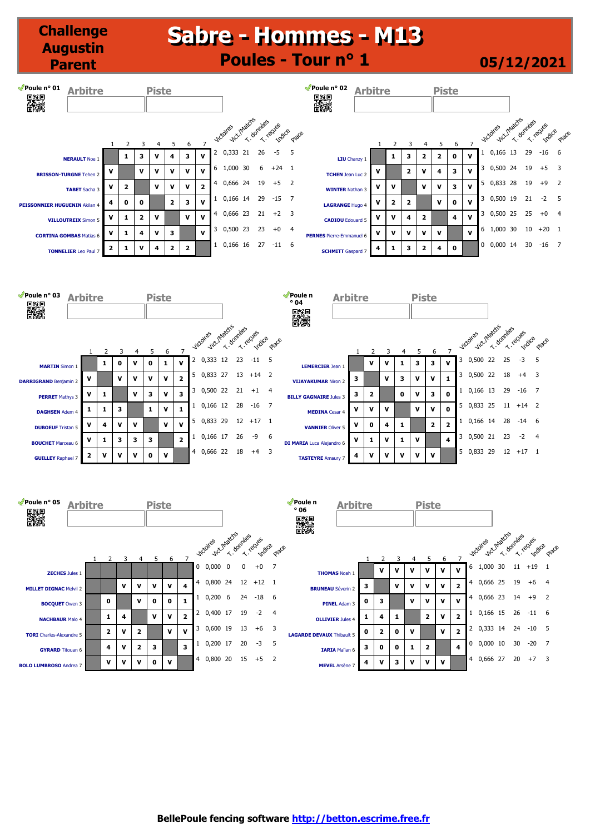# **Sabre - Hommes - M13 Sabre - Hommes - M13 Poules - Tour n° 1 05/12/2021**

**Challenge Augustin Parent**

| Poule n° 01<br><b>Arbitre</b><br>釅                     |                         |   | <b>Piste</b> |                         |                         |                         |   |                  |               |             |            |                | ¶Poule n° 02<br><b>Arbitre</b><br>釅 |   |             |                |              | <b>Piste</b> |             |              |   |                           |    |           |                    |       |
|--------------------------------------------------------|-------------------------|---|--------------|-------------------------|-------------------------|-------------------------|---|------------------|---------------|-------------|------------|----------------|-------------------------------------|---|-------------|----------------|--------------|--------------|-------------|--------------|---|---------------------------|----|-----------|--------------------|-------|
|                                                        |                         |   |              | 5                       | 6                       |                         |   | <b>Viccoires</b> | vict.Imatches | T. dominees | T. recycle | place          |                                     |   |             |                | 4            | 5            | 6           |              |   | Vict. Matchs<br>Viccoires |    | T. dombes | Triccues<br>Indice | Place |
| <b>NERAULT Noe 1</b>                                   | 1                       | 3 | v            | 4                       | 3                       | ν                       | 2 | 0,333            | 21            | 26          | -5         | 5              | <b>LIU</b> Chanzy 1                 |   | 1           | 3              | $\mathbf{2}$ | $\mathbf{2}$ | 0           | $\mathbf{v}$ |   | 0,166                     | 13 | 29        | $-16$              | -6    |
| v<br><b>BRISSON-TURGNE Tehen 2</b>                     |                         | v | v            | v                       | v                       | ν                       | 6 | 1,000            | 30            | 6           | $+24$      |                | <b>TCHEN</b> Jean Luc 2             | v |             | $\overline{2}$ | $\mathbf{v}$ | 4            | 3           | $\mathbf{v}$ | 3 | 0,500                     | 24 | 19        | $+5$               |       |
| $\mathbf v$<br><b>TABET</b> Sacha 3                    | $\overline{\mathbf{2}}$ |   | v            | v                       | v                       | $\overline{\mathbf{2}}$ | 4 |                  | 0,666 24      | 19          | $+5$       | $\overline{2}$ | <b>WINTER Nathan 3</b>              | v | $\mathbf v$ |                | v            | v            | 3           | $\mathbf{v}$ | 5 | 0,833                     | 28 | 19        | $+9$               |       |
| 4<br>PEISSONNIER HUGUENIN Akilan 4                     | 0                       | 0 |              | $\overline{\mathbf{2}}$ | 3                       | v                       |   |                  | 0,166 14      | 29          | -15        | 7              | <b>LAGRANGE Hugo 4</b>              | v | 2           | $\overline{2}$ |              | v            | $\mathbf 0$ | $\mathbf{v}$ | 3 | 0,500                     | 19 | 21        | $-2$               | 5     |
| v<br><b>VILLOUTREIX Simon 5</b>                        | 1                       | 2 | v            |                         | $\mathbf{v}$            | v                       | 4 |                  | 0,666 23      | 21          | $+2$       | 3              | <b>CADIOU</b> Edouard 5             | v | v           | 4              | 2            |              | 4           | $\mathbf{v}$ |   | 0,500                     | 25 | 25        | $+0$               | 4     |
| v<br><b>CORTINA GOMBAS Matias 6</b>                    | -1                      | 4 | ν            | 3                       |                         | ν                       | 3 | 0,500            | 23            | 23          | $+0$       | $\overline{4}$ | <b>PERNES</b> Pierre-Emmanuel 6     | v | v           | v              | v            | v            |             | v            | 6 | 1,000                     | 30 | 10        | $+20$              |       |
| $\overline{\mathbf{2}}$<br><b>TONNELIER</b> Leo Paul 7 |                         | v | 4            | 2                       | $\overline{\mathbf{2}}$ |                         | 1 |                  | 0,166 16      | 27          | $-11$ 6    |                | <b>SCHMITT</b> Gaspard 7            | 4 | 1           | 3              | $\mathbf{2}$ | 4            | 0           |              | 0 | 0,000 14                  |    | 30        | $-16$              |       |

| Poule n° 03                  | <b>Arbitre</b> |                |             |              |   |              | <b>Piste</b> |                         |   |                                         |    |    |         |                         | Poule n<br>$^{\circ}$ 04         | <b>Arbitre</b> |   |   |   | <b>Piste</b> |                         |                |   |                           |    |    |                    |                         |
|------------------------------|----------------|----------------|-------------|--------------|---|--------------|--------------|-------------------------|---|-----------------------------------------|----|----|---------|-------------------------|----------------------------------|----------------|---|---|---|--------------|-------------------------|----------------|---|---------------------------|----|----|--------------------|-------------------------|
| 驧                            |                |                |             |              |   |              |              |                         |   |                                         |    |    |         |                         | 釅                                |                |   |   |   |              |                         |                |   |                           |    |    |                    |                         |
|                              |                |                |             | в            |   | 5            | 6            |                         |   | Vict Machen des Experience<br>Victoires |    |    |         | place                   |                                  |                |   |   |   | 5            | 6                       |                |   | vict.Inaccrs<br>Victoires |    |    | T-Teches<br>Indice | place                   |
| <b>MARTIN</b> Simon 1        |                |                | 1           | $\mathbf{o}$ | v | $\bf{0}$     |              | v                       | 2 | 0,333                                   | 12 | 23 | $-11$   | 5                       | <b>LEMERCIER</b> Jean 1          |                | v |   |   | 3            | 3                       | $\mathbf{v}$   | 3 | 0,500                     | 22 | 25 | $-3$               | -5                      |
| <b>DARRIGRAND Benjamin 2</b> |                | v              |             | $\mathbf v$  | v | v            | v            | $\overline{\mathbf{2}}$ | 5 | 0,833 27                                |    | 13 | $+14$ 2 |                         | <b>VIJAYAKUMAR Niron 2</b>       | 3              |   | v | 3 | v            | $\mathbf{v}$            | $\mathbf{1}$   | 3 | 0,500 22                  |    | 18 | $+4$               | $\overline{\mathbf{3}}$ |
| <b>PERRET</b> Mathys 3       |                | v              | 1           |              | v | 3            | V            | з                       | 3 | 0,500 22                                |    | 21 | $+1$    | $\overline{4}$          | <b>BILLY GAGNAIRE Jules 3</b>    | з              | 2 |   | 0 | v            | 3                       | $\mathbf{0}$   |   | 0,166 13                  |    | 29 | $-16$ 7            |                         |
| <b>DAGHSEN</b> Adem 4        |                | 1              | 1           | 3            |   | $\mathbf{1}$ | v            | 1                       |   | 0,166 12                                |    | 28 | -16     | 7                       | <b>MEDINA</b> Cesar 4            | v              | ν | v |   | v            | v                       | $\mathbf{0}$   |   | 5 0,833 25                |    |    | $11 + 14$ 2        |                         |
| <b>DUBOEUF</b> Tristan 5     |                | v              | 4           | $\mathbf v$  | v |              | $\mathbf{v}$ | v                       | 5 | 0,833                                   | 29 | 12 | $+17$   |                         | <b>VANNIER Oliver 5</b>          | v              | 0 | 4 | 1 |              | $\overline{\mathbf{2}}$ | $\overline{2}$ |   | 0,166 14                  |    | 28 | $-14$ 6            |                         |
| <b>BOUCHET</b> Marceau 6     |                | v              | 1           | 3            | 3 | 3            |              | $\overline{2}$          |   | 0,166 17                                |    | 26 | -9      | 6                       | <b>DI MARIA</b> Luca Alejandro 6 | v              |   | v | 1 | v            |                         | $\overline{4}$ | 3 | 0,500 21                  |    | 23 | $-2$               | $\overline{4}$          |
| <b>GUILLEY Raphael 7</b>     |                | $\overline{2}$ | $\mathbf v$ | $\mathbf v$  | v | $\mathbf 0$  | v            |                         |   | 4 0,666 22                              |    | 18 | $+4$    | $\overline{\mathbf{3}}$ | <b>TASTEYRE</b> Amaury 7         | 4              | ν | v | v | v            | v                       |                | 5 | 0,833 29                  |    |    | $12 + 17 + 1$      |                         |
|                              |                |                |             |              |   |              |              |                         |   |                                         |    |    |         |                         |                                  |                |   |   |   |              |                         |                |   |                           |    |    |                    |                         |

| $\blacktriangledown$ Poule n° 05 | <b>Arbitre</b> |                         |   |                         | <b>Piste</b> |              |                |   |                  |              |           |                   |                | Poule n<br>$^{\circ}$ 06         | <b>Arbitre</b> |                         |             |              | <b>Piste</b>            |              |                         |                |                           |           |    |                    |       |
|----------------------------------|----------------|-------------------------|---|-------------------------|--------------|--------------|----------------|---|------------------|--------------|-----------|-------------------|----------------|----------------------------------|----------------|-------------------------|-------------|--------------|-------------------------|--------------|-------------------------|----------------|---------------------------|-----------|----|--------------------|-------|
| 蹨                                |                |                         |   |                         |              |              |                |   |                  |              |           |                   |                | 躐                                |                |                         |             |              |                         |              |                         |                |                           |           |    |                    |       |
|                                  |                |                         |   |                         |              |              |                |   | <b>Victoires</b> | Vict. Matchs | T- dombes | Treches<br>Indice | place          |                                  |                |                         |             |              |                         |              |                         |                | Vict. Matchs<br>Victoires | T. domees |    | Triccues<br>Indice | place |
|                                  |                |                         | 3 | 4                       | 5            | 6            |                | 0 | 0,000            | $\mathbf 0$  | 0         | $+0$              | $\overline{7}$ |                                  |                |                         |             |              | 5                       | 6            |                         | 6              | 1,000                     | 30        | 11 | $+19$              |       |
| <b>ZECHES Jules 1</b>            |                |                         |   |                         |              |              |                |   |                  |              |           |                   |                | <b>THOMAS Noah 1</b>             |                | v                       | v           | v            | v                       | v            | v                       |                |                           |           |    |                    |       |
| <b>MILLET DIGNAC Melvil 2</b>    |                |                         | v | v                       | v            | v            | 4              | 4 | 0,800            | 24           | 12        | $+12$ 1           |                | <b>BRUNEAU Séverin 2</b>         | 3              |                         | v           | v            | v                       | v            | 2                       | 4              | 0,666                     | 25        | 19 | $+6$               | 4     |
| <b>BOCQUET</b> Owen 3            |                | $\mathbf 0$             |   | $\mathbf v$             | 0            | $\mathbf{0}$ |                |   | 0,200            | 6            | 24        | $-18$             | -6             | <b>PINEL</b> Adam 3              | 0              | 3                       |             | $\mathbf{v}$ | v                       | v            | v                       | 4              | 0,666 23                  |           | 14 | $+9$               |       |
| <b>NACHBAUR Malo 4</b>           |                | 1                       | 4 |                         | $\mathbf{v}$ | v            | $\overline{2}$ |   | 0,400            | 17           | 19        | $-2$              | 4              | <b>OLLIVIER Jules 4</b>          |                | 4                       | 1           |              | $\overline{\mathbf{2}}$ | v            | $\overline{\mathbf{2}}$ |                | 0,166                     | 15        | 26 | $-11$              | -6    |
| <b>TORI</b> Charles-Alexandre 5  |                | $\overline{\mathbf{2}}$ | v | $\overline{\mathbf{2}}$ |              | v            | v              | 3 | 0,600            | 19           | 13        | $+6$              | 3              | <b>LAGARDE DEVAUX Thibault 5</b> | 0              | $\overline{\mathbf{2}}$ | $\mathbf 0$ | v            |                         | v            | $\overline{\mathbf{2}}$ |                | 0,333                     | 14        | 24 | $-10$              | -5    |
| <b>GYRARD</b> Titouan 6          |                | 4                       | v | 2                       | з            |              | 3              |   | 0,200 17         |              | 20        | -3                | 5              | <b>IARIA</b> Mailan 6            | 3              | 0                       | 0           | 1            | $\overline{\mathbf{2}}$ |              | 4                       | 0              | 0,000                     | 10        | 30 | $-20$              |       |
| <b>BOLO LUMBROSO Andrea 7</b>    |                | $\mathbf v$             | v | v                       | 0            | v            |                | 4 | 0,800 20         |              | 15        | $+5$              | $\overline{2}$ | <b>MEVEL</b> Arsène 7            | 4              | ν                       | з           | v            | v                       | $\mathbf{v}$ |                         | $\overline{4}$ | 0,666 27                  |           | 20 | $+7$               | 3     |
|                                  |                |                         |   |                         |              |              |                |   |                  |              |           |                   |                |                                  |                |                         |             |              |                         |              |                         |                |                           |           |    |                    |       |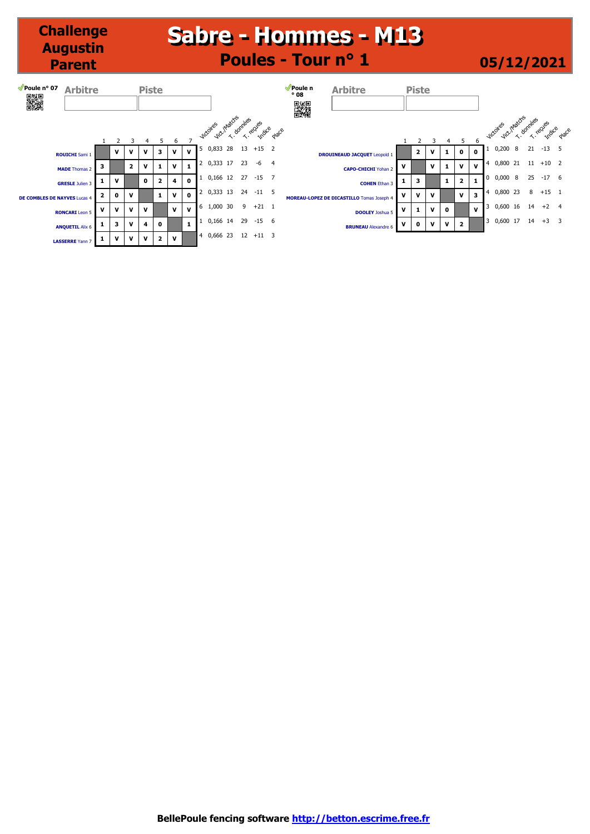# **Sabre - Hommes - M13 Sabre - Hommes - M13 Poules - Tour n° 1 05/12/2021**

**Challenge Augustin Parent**

| Poule nº 07<br>▓             | <b>Arbitre</b>         |             |             |                | <b>Piste</b> |                         |              |              |                |                                   |    |           |             |                | Poule n<br>$^{\circ}$ 08<br><b>AND</b> | <b>Arbitre</b>                            |   | <b>Piste</b> |              |              |                         |              |              |                                    |   |    |               |                          |
|------------------------------|------------------------|-------------|-------------|----------------|--------------|-------------------------|--------------|--------------|----------------|-----------------------------------|----|-----------|-------------|----------------|----------------------------------------|-------------------------------------------|---|--------------|--------------|--------------|-------------------------|--------------|--------------|------------------------------------|---|----|---------------|--------------------------|
|                              |                        |             |             |                |              |                         | 6            |              |                | Vict. Matches<br><b>Victoires</b> |    | T. dombes | T. recues   | place          |                                        |                                           |   |              |              |              |                         | 6            |              | Vict. Intactis<br><b>Jictoires</b> |   |    |               | T. dombes ecues<br>place |
|                              | <b>ROUICHI</b> Sami 1  |             | v           | v              | v            | 3                       | v            | v            | 5              | 0,833                             | 28 | 13        | $+15$ 2     |                |                                        | <b>DROUINEAUD JACQUET Leopold 1</b>       |   | 2            | v            | 1            | $\mathbf{o}$            | 0            |              | 0,200                              | 8 | 21 | $-13$         | -5                       |
|                              | <b>MADE</b> Thomas 2   | з           |             | $\overline{2}$ | v            | 1                       | $\mathbf{v}$ | -1           |                | 0,333 17                          |    | 23        | -6          | $\overline{4}$ |                                        | <b>CAPO-CHICHI</b> Yohan 2                | v |              | v            | -1           | v                       | $\mathbf{v}$ |              | 0,800 21                           |   |    | $11 + 10 = 2$ |                          |
|                              | <b>GRESLE</b> Julien 3 |             | v           |                | $\mathbf 0$  | $\overline{\mathbf{2}}$ | 4            | $\mathbf 0$  |                | 0,166 12                          |    | 27        | $-15$       | $\overline{7}$ |                                        | <b>COHEN Ethan 3</b>                      | 1 | з            |              | 1            | $\overline{\mathbf{2}}$ | 1            | $\mathbf{0}$ | 0,0008                             |   | 25 | $-17$ 6       |                          |
| DE COMBLES DE NAYVES Lucas 4 |                        | 2           | 0           | v              |              | $\mathbf{1}$            | $\mathbf{v}$ | $\mathbf 0$  |                | 0,333 13                          |    | 24        | $-11$ 5     |                |                                        | MOREAU-LOPEZ DE DICASTILLO Tomas Joseph 4 | v | v            | V            |              | v                       | 3            |              | 0,800 23                           |   | 8  | $+15$ 1       |                          |
|                              | <b>RONCARI</b> Leon 5  | $\mathbf v$ | $\mathbf v$ | $\mathbf v$    | v            |                         | $\mathbf{v}$ | $\mathbf{v}$ |                | 6 1,000 30                        |    | 9         | $+21$ 1     |                |                                        | <b>DOOLEY</b> Joshua 5                    | v | 1            | $\mathbf{v}$ | $\mathbf{0}$ |                         | v            |              | 0,600 16                           |   | 14 | $+2$ 4        |                          |
|                              | <b>ANQUETIL Alix 6</b> |             | з           | v              | 4            | $\mathbf 0$             |              | $\mathbf{1}$ |                | 0,166 14                          |    | 29        | $-15$       | $6^{\circ}$    |                                        | <b>BRUNEAU</b> Alexandre 6                | v | $\mathbf 0$  | $\mathbf{v}$ | $\mathbf{v}$ | $\overline{\mathbf{2}}$ |              | 3            | $0,600$ 17 14 +3 3                 |   |    |               |                          |
|                              | <b>LASSERRE</b> Yann 7 |             | v           | v              | v            | $\overline{2}$          | $\mathbf v$  |              | $\overline{4}$ | 0,666 23                          |    |           | $12 + 11$ 3 |                |                                        |                                           |   |              |              |              |                         |              |              |                                    |   |    |               |                          |

**BellePoule fencing software http://betton.escrime.free.fr**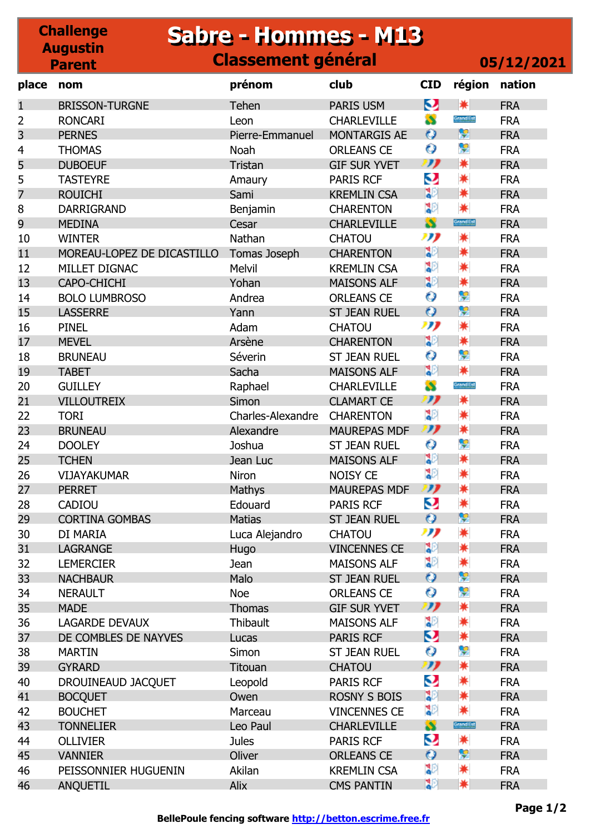### **Challenge Augustin Parent Sabre - Hommes - M13 Sabre - Hommes - M13 Classement général 05/12/2021 place nom prénom club CID région nation** 1 BRISSON-TURGNE Tehen PARIS USM NATION FRA

| ш              | BRISSUN-TURGNE             | i enen            | PARIS USM           | $\sim$              | 术         | FRA        |
|----------------|----------------------------|-------------------|---------------------|---------------------|-----------|------------|
| 2              | <b>RONCARI</b>             | Leon              | <b>CHARLEVILLE</b>  | S                   | Grandlist | <b>FRA</b> |
| 3              | <b>PERNES</b>              | Pierre-Emmanuel   | <b>MONTARGIS AE</b> | $\bullet$           | ¥         | <b>FRA</b> |
| 4              | <b>THOMAS</b>              | Noah              | <b>ORLEANS CE</b>   | О                   | 우         | <b>FRA</b> |
| 5              | <b>DUBOEUF</b>             | Tristan           | <b>GIF SUR YVET</b> | IJ                  | ☀         | <b>FRA</b> |
| 5              | <b>TASTEYRE</b>            | Amaury            | <b>PARIS RCF</b>    | Q                   | *         | <b>FRA</b> |
| $\overline{7}$ | <b>ROUICHI</b>             | Sami              | <b>KREMLIN CSA</b>  | 30                  | ☀         | <b>FRA</b> |
| 8              | DARRIGRAND                 | Benjamin          | <b>CHARENTON</b>    | 30                  | *         | <b>FRA</b> |
| 9              | <b>MEDINA</b>              | Cesar             | <b>CHARLEVILLE</b>  | S                   | Grandlist | <b>FRA</b> |
| 10             | <b>WINTER</b>              | Nathan            | <b>CHATOU</b>       | תנו                 | *         | <b>FRA</b> |
| 11             | MOREAU-LOPEZ DE DICASTILLO | Tomas Joseph      | <b>CHARENTON</b>    | 32                  | ☀         | <b>FRA</b> |
| 12             | MILLET DIGNAC              | Melvil            | <b>KREMLIN CSA</b>  | ္မွာ                | *         | <b>FRA</b> |
| 13             | CAPO-CHICHI                | Yohan             | <b>MAISONS ALF</b>  | 30                  | ☀         | <b>FRA</b> |
| 14             | <b>BOLO LUMBROSO</b>       | Andrea            | <b>ORLEANS CE</b>   | $\bullet$           | Ş         | <b>FRA</b> |
| 15             | <b>LASSERRE</b>            | Yann              | <b>ST JEAN RUEL</b> | $\bullet$           | ę         | <b>FRA</b> |
| 16             | <b>PINEL</b>               | Adam              | <b>CHATOU</b>       | תנו                 | *         | <b>FRA</b> |
| 17             | <b>MEVEL</b>               | Arsène            | <b>CHARENTON</b>    | 32                  | ☀         | <b>FRA</b> |
| 18             | <b>BRUNEAU</b>             | Séverin           | <b>ST JEAN RUEL</b> | $\bullet$           | 옃         | <b>FRA</b> |
| 19             | <b>TABET</b>               | Sacha             | <b>MAISONS ALF</b>  | 30                  | ☀         | <b>FRA</b> |
| 20             | <b>GUILLEY</b>             | Raphael           | <b>CHARLEVILLE</b>  | S                   | Grandlist | <b>FRA</b> |
| 21             | <b>VILLOUTREIX</b>         | Simon             | <b>CLAMART CE</b>   | IJ                  | ☀         | <b>FRA</b> |
| 22             | <b>TORI</b>                | Charles-Alexandre | <b>CHARENTON</b>    | န္စာ                | ☀         | <b>FRA</b> |
| 23             | <b>BRUNEAU</b>             | Alexandre         | <b>MAUREPAS MDF</b> | $\boldsymbol{\eta}$ | ☀         | <b>FRA</b> |
| 24             | <b>DOOLEY</b>              | Joshua            | <b>ST JEAN RUEL</b> | $\bullet$           | 옃         | <b>FRA</b> |
| 25             | <b>TCHEN</b>               | Jean Luc          | <b>MAISONS ALF</b>  | 32                  | ☀         | <b>FRA</b> |
| 26             | <b>VIJAYAKUMAR</b>         | Niron             | <b>NOISY CE</b>     | ္မွာ                | *         | <b>FRA</b> |
| 27             | <b>PERRET</b>              | Mathys            | <b>MAUREPAS MDF</b> | IJ                  | ☀         | <b>FRA</b> |
| 28             | <b>CADIOU</b>              | Edouard           | <b>PARIS RCF</b>    | Q                   | *         | <b>FRA</b> |
| 29             | <b>CORTINA GOMBAS</b>      | <b>Matias</b>     | <b>ST JEAN RUEL</b> | $\bullet$           | ę         | <b>FRA</b> |
| 30             | DI MARIA                   | Luca Alejandro    | <b>CHATOU</b>       | תנו                 | *         | <b>FRA</b> |
| 31             | <b>LAGRANGE</b>            | <b>Hugo</b>       | <b>VINCENNES CE</b> | 32                  | *         | <b>FRA</b> |
| 32             | <b>LEMERCIER</b>           | Jean              | <b>MAISONS ALF</b>  | ္မွာ                | *         | <b>FRA</b> |
| 33             | <b>NACHBAUR</b>            | Malo              | <b>ST JEAN RUEL</b> | $\mathbf o$         | ę         | <b>FRA</b> |
| 34             | <b>NERAULT</b>             | Noe               | <b>ORLEANS CE</b>   | О                   | 옃         | <b>FRA</b> |
| 35             | <b>MADE</b>                | Thomas            | <b>GIF SUR YVET</b> | IJ                  | ☀         | <b>FRA</b> |
| 36             | <b>LAGARDE DEVAUX</b>      | Thibault          | <b>MAISONS ALF</b>  | 30                  | *         | <b>FRA</b> |
| 37             | DE COMBLES DE NAYVES       | Lucas             | <b>PARIS RCF</b>    | Q                   | ☀         | <b>FRA</b> |
|                | <b>MARTIN</b>              |                   | <b>ST JEAN RUEL</b> | О                   | 笑         | <b>FRA</b> |
| 38<br>39       |                            | Simon             |                     | תי                  | ☀         |            |
|                | <b>GYRARD</b>              | Titouan           | <b>CHATOU</b>       | Q                   | ☀         | <b>FRA</b> |
| 40             | DROUINEAUD JACQUET         | Leopold           | <b>PARIS RCF</b>    | 30                  |           | <b>FRA</b> |
| 41             | <b>BOCQUET</b>             | Owen              | <b>ROSNY S BOIS</b> |                     | ☀         | <b>FRA</b> |
| 42             | <b>BOUCHET</b>             | Marceau           | <b>VINCENNES CE</b> | ្នុ                 | *         | <b>FRA</b> |
| 43             | <b>TONNELIER</b>           | Leo Paul          | <b>CHARLEVILLE</b>  | S                   | Grandlist | <b>FRA</b> |
| 44             | <b>OLLIVIER</b>            | <b>Jules</b>      | <b>PARIS RCF</b>    | Q                   | *         | <b>FRA</b> |
| 45             | <b>VANNIER</b>             | Oliver            | <b>ORLEANS CE</b>   | $\bullet$           | ę         | <b>FRA</b> |
| 46             | PEISSONNIER HUGUENIN       | Akilan            | <b>KREMLIN CSA</b>  | ុំ                  | *         | <b>FRA</b> |
| 46             | ANQUETIL                   | Alix              | <b>CMS PANTIN</b>   | 30                  | ☀         | <b>FRA</b> |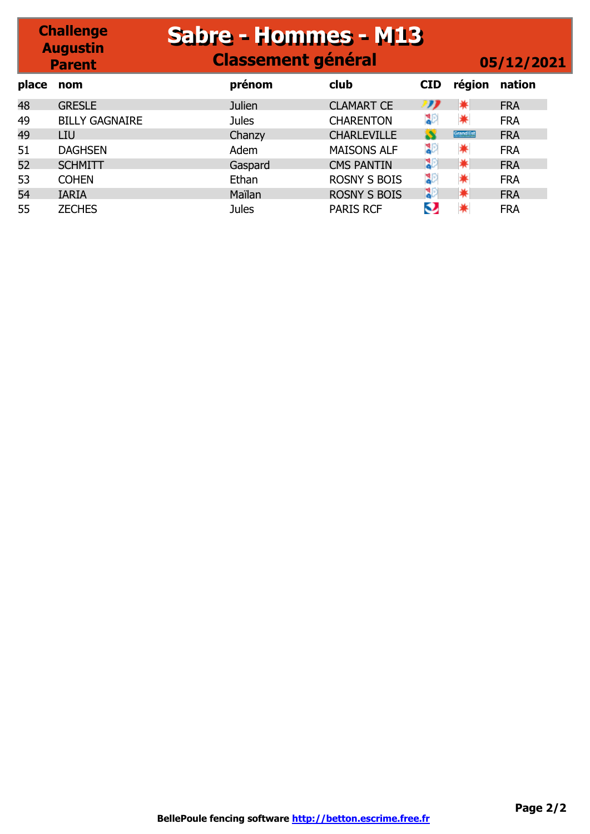# **Sabre - Hommes - M13 Sabre - Hommes - M13 Classement général 05/12/2021**

**Challenge Augustin Parent**

| place | nom                   | prénom        | club                | <b>CID</b>   | région    | nation     |
|-------|-----------------------|---------------|---------------------|--------------|-----------|------------|
| 48    | <b>GRESLE</b>         | <b>Julien</b> | <b>CLAMART CE</b>   | תי           | ☀         | <b>FRA</b> |
| 49    | <b>BILLY GAGNAIRE</b> | <b>Jules</b>  | <b>CHARENTON</b>    | ঃ            | *         | <b>FRA</b> |
| 49    | LIU                   | Chanzy        | <b>CHARLEVILLE</b>  | $\mathbf{S}$ | Grandlist | <b>FRA</b> |
| 51    | <b>DAGHSEN</b>        | Adem          | <b>MAISONS ALF</b>  | ঃ            | *         | <b>FRA</b> |
| 52    | <b>SCHMITT</b>        | Gaspard       | <b>CMS PANTIN</b>   | BЭ           | ☀         | <b>FRA</b> |
| 53    | <b>COHEN</b>          | Ethan         | <b>ROSNY S BOIS</b> | 30           | ☀         | <b>FRA</b> |
| 54    | <b>IARIA</b>          | Maïlan        | <b>ROSNY S BOIS</b> | IЮ           | ☀         | <b>FRA</b> |
| 55    | <b>ZECHES</b>         | <b>Jules</b>  | <b>PARIS RCF</b>    | Q            |           | <b>FRA</b> |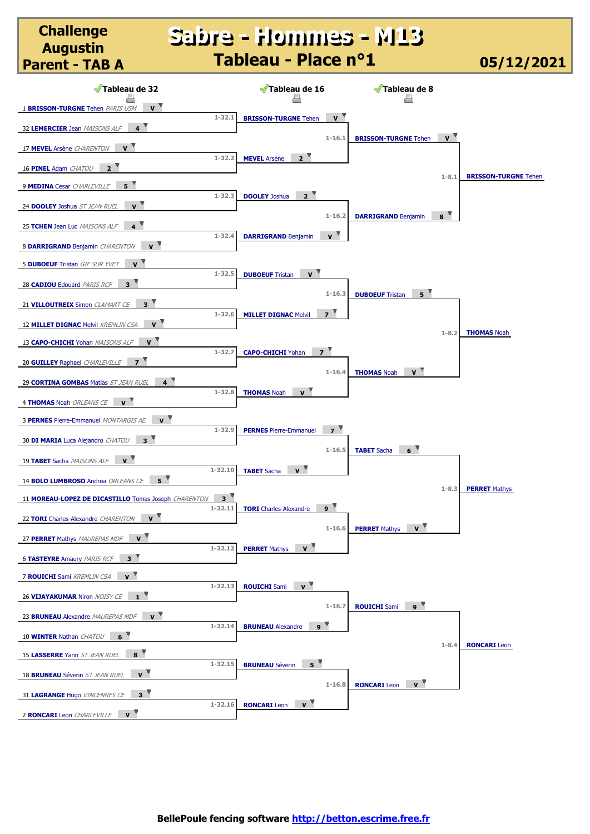### **Sabre - Hommes - M13 Sabre - Hommes - M13 Tableau - Place n°1 05/12/2021**

**Challenge Augustin** 

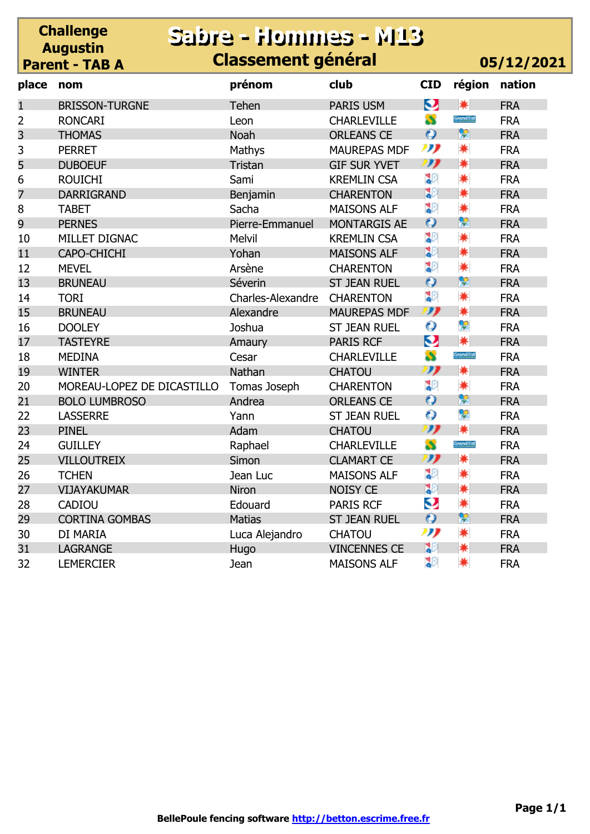#### **Challenge Augustin Parent - TAB A Sabre - Hommes - M13 Sabre - Hommes - M13 Classement général 05/12/2021**

| place          | nom                        | prénom                   | club                | <b>CID</b>          | région    | nation     |
|----------------|----------------------------|--------------------------|---------------------|---------------------|-----------|------------|
| 1              | <b>BRISSON-TURGNE</b>      | Tehen                    | PARIS USM           | O                   | 兼         | <b>FRA</b> |
| $\overline{2}$ | <b>RONCARI</b>             | Leon                     | <b>CHARLEVILLE</b>  | S                   | Grandlist | <b>FRA</b> |
| 3              | <b>THOMAS</b>              | <b>Noah</b>              | <b>ORLEANS CE</b>   | $\bullet$           | ę         | <b>FRA</b> |
| 3              | <b>PERRET</b>              | Mathys                   | <b>MAUREPAS MDF</b> | תנו                 | *         | <b>FRA</b> |
| 5              | <b>DUBOEUF</b>             | Tristan                  | <b>GIF SUR YVET</b> | IJ                  | ☀         | <b>FRA</b> |
| 6              | <b>ROUICHI</b>             | Sami                     | <b>KREMLIN CSA</b>  | 30                  | *         | <b>FRA</b> |
| 7              | <b>DARRIGRAND</b>          | Benjamin                 | <b>CHARENTON</b>    | 30                  | ☀         | <b>FRA</b> |
| 8              | <b>TABET</b>               | Sacha                    | <b>MAISONS ALF</b>  | 30                  | *         | <b>FRA</b> |
| 9              | <b>PERNES</b>              | Pierre-Emmanuel          | <b>MONTARGIS AE</b> | $\bullet$           | ç         | <b>FRA</b> |
| 10             | MILLET DIGNAC              | Melvil                   | <b>KREMLIN CSA</b>  | 30                  | *         | <b>FRA</b> |
| 11             | CAPO-CHICHI                | Yohan                    | <b>MAISONS ALF</b>  | 32                  | ☀         | <b>FRA</b> |
| 12             | <b>MEVEL</b>               | Arsène                   | <b>CHARENTON</b>    | 30                  | *         | <b>FRA</b> |
| 13             | <b>BRUNEAU</b>             | Séverin                  | <b>ST JEAN RUEL</b> | $\bullet$           | ę         | <b>FRA</b> |
| 14             | <b>TORI</b>                | <b>Charles-Alexandre</b> | <b>CHARENTON</b>    | 30                  | *         | <b>FRA</b> |
| 15             | <b>BRUNEAU</b>             | Alexandre                | <b>MAUREPAS MDF</b> | IJ                  | ☀         | <b>FRA</b> |
| 16             | <b>DOOLEY</b>              | Joshua                   | <b>ST JEAN RUEL</b> | Ó                   | Ş         | <b>FRA</b> |
| 17             | <b>TASTEYRE</b>            | Amaury                   | <b>PARIS RCF</b>    | Q                   | ☀         | <b>FRA</b> |
| 18             | <b>MEDINA</b>              | Cesar                    | <b>CHARLEVILLE</b>  | $\mathbf{S}$        | Grandlist | <b>FRA</b> |
| 19             | <b>WINTER</b>              | Nathan                   | <b>CHATOU</b>       | IJ                  | ☀         | <b>FRA</b> |
| 20             | MOREAU-LOPEZ DE DICASTILLO | Tomas Joseph             | <b>CHARENTON</b>    | 30                  | *         | <b>FRA</b> |
| 21             | <b>BOLO LUMBROSO</b>       | Andrea                   | <b>ORLEANS CE</b>   | $\bullet$           | ę         | <b>FRA</b> |
| 22             | <b>LASSERRE</b>            | Yann                     | <b>ST JEAN RUEL</b> | Ò                   | Ş         | <b>FRA</b> |
| 23             | <b>PINEL</b>               | Adam                     | <b>CHATOU</b>       | $\boldsymbol{\eta}$ | ☀         | <b>FRA</b> |
| 24             | <b>GUILLEY</b>             | Raphael                  | <b>CHARLEVILLE</b>  | $\mathbf{S}$        | Grandlist | <b>FRA</b> |
| 25             | <b>VILLOUTREIX</b>         | Simon                    | <b>CLAMART CE</b>   | ""                  | ☀         | <b>FRA</b> |
| 26             | <b>TCHEN</b>               | Jean Luc                 | <b>MAISONS ALF</b>  | ុំ                  | *         | <b>FRA</b> |
| 27             | VIJAYAKUMAR                | Niron                    | <b>NOISY CE</b>     | 32                  | ☀         | <b>FRA</b> |
| 28             | <b>CADIOU</b>              | Edouard                  | <b>PARIS RCF</b>    | Q                   | ☀         | <b>FRA</b> |
| 29             | <b>CORTINA GOMBAS</b>      | <b>Matias</b>            | <b>ST JEAN RUEL</b> | $\bullet$           | ę         | <b>FRA</b> |
| 30             | DI MARIA                   | Luca Alejandro           | <b>CHATOU</b>       | תנו                 | *         | <b>FRA</b> |
| 31             | <b>LAGRANGE</b>            | Hugo                     | <b>VINCENNES CE</b> | 30                  | ☀         | <b>FRA</b> |
| 32             | <b>LEMERCIER</b>           | Jean                     | <b>MAISONS ALF</b>  | 30                  | *         | <b>FRA</b> |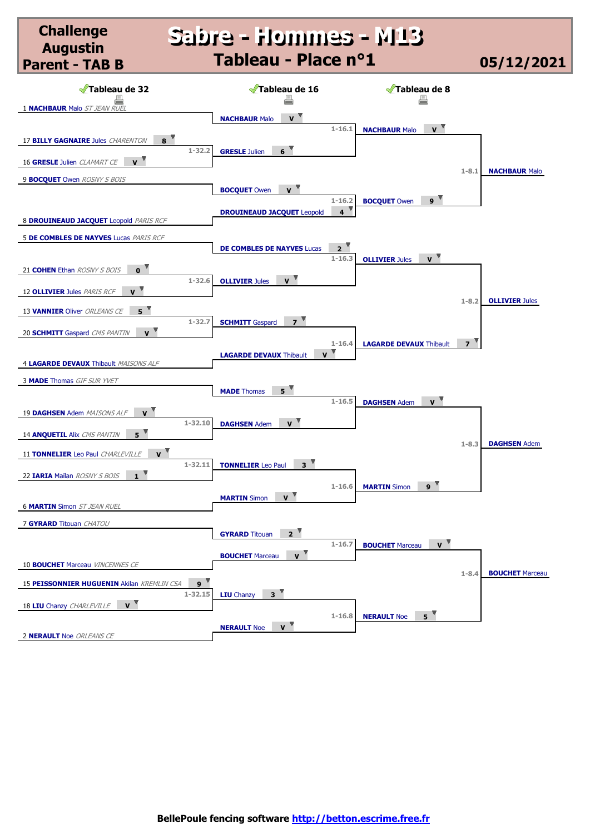### **Sabre - Hommes - M13 Sabre - Hommes - M13 Tableau - Place n°1 05/12/2021**

**Challenge Augustin Parent - TAB B**

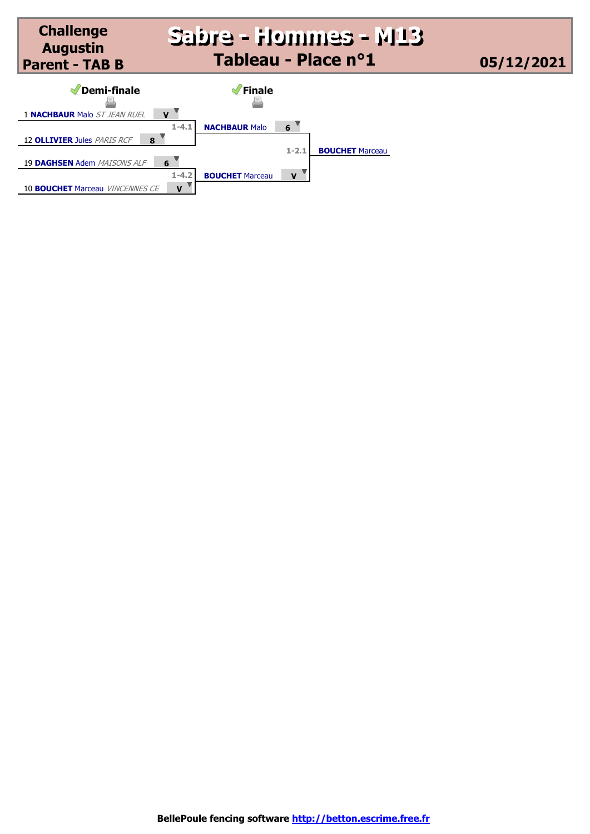

10 **BOUCHET** Marceau *VINCENNES CE* **V**